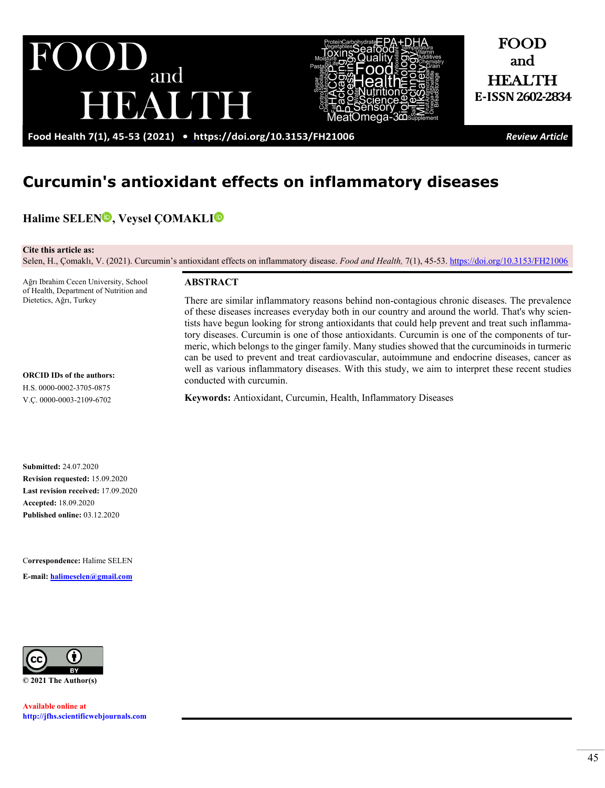



FOOD and **HEALTH E-ISSN2602-2834**

**Food Health 7(1), 45-53 (2021) •<https://doi.org/10.3153/FH21006>***Review Article*

# **Curcumin's antioxidant effects on inflammatory diseases**

**Halime SELEN<sup>O</sup>, Veysel COMAKL[I](http://orcid.org/0000-0003-2109-6702)<sup>O</sup>** 

**Cite this article as:** 

Selen, H., Çomaklı, V. (2021). Curcumin's antioxidant effects on inflammatory disease. *Food and Health,* 7(1), 45-53. <https://doi.org/10.3153/FH21006>

Ağrı Ibrahim Cecen University, School of Health, Department of Nutrition and Dietetics, Ağrı, Turkey

**ORCID IDs of the authors:** H.S. 0000-0002-3705-0875 V.Ç. 0000-0003-2109-6702

**ABSTRACT**

There are similar inflammatory reasons behind non-contagious chronic diseases. The prevalence of these diseases increases everyday both in our country and around the world. That's why scientists have begun looking for strong antioxidants that could help prevent and treat such inflammatory diseases. Curcumin is one of those antioxidants. Curcumin is one of the components of turmeric, which belongs to the ginger family. Many studies showed that the curcuminoids in turmeric can be used to prevent and treat cardiovascular, autoimmune and endocrine diseases, cancer as well as various inflammatory diseases. With this study, we aim to interpret these recent studies conducted with curcumin.

**Keywords:** Antioxidant, Curcumin, Health, Inflammatory Diseases

**Submitted:** 24.07.2020 **Revision requested:** 15.09.2020 **Last revision received:** 17.09.2020 **Accepted:** 18.09.2020 **Published online:** 03.12.2020

C**orrespondence:** Halime SELEN

**E-mail: [halimeselen@gmail.com](mailto:halimeselen@gmail.com)**



**Available online at [http://jfhs.scientificwebjournals.com](http://jfhs.scientificwebjournals.com/)**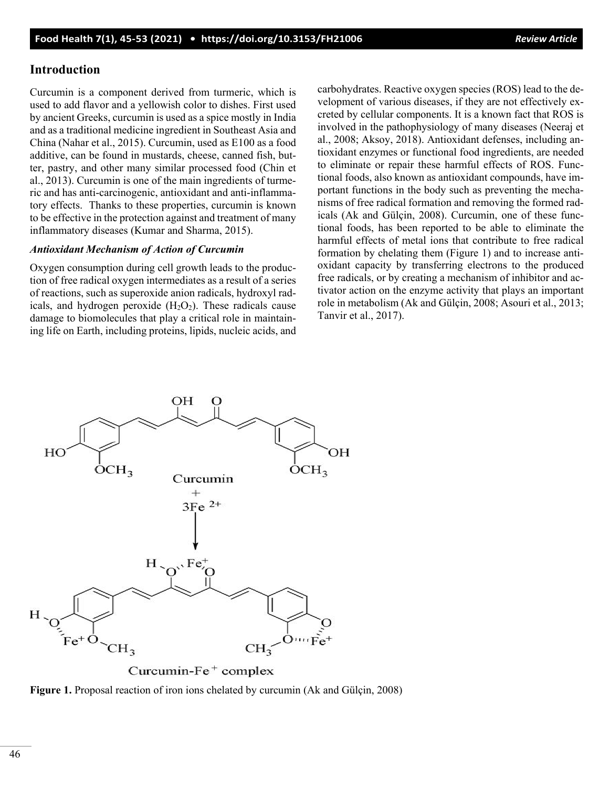## **Introduction**

Curcumin is a component derived from turmeric, which is used to add flavor and a yellowish color to dishes. First used by ancient Greeks, curcumin is used as a spice mostly in India and as a traditional medicine ingredient in Southeast Asia and China (Nahar et al., 2015). Curcumin, used as E100 as a food additive, can be found in mustards, cheese, canned fish, butter, pastry, and other many similar processed food (Chin et al., 2013). Curcumin is one of the main ingredients of turmeric and has anti-carcinogenic, antioxidant and anti-inflammatory effects. Thanks to these properties, curcumin is known to be effective in the protection against and treatment of many inflammatory diseases (Kumar and Sharma, 2015).

### *Antioxidant Mechanism of Action of Curcumin*

Oxygen consumption during cell growth leads to the production of free radical oxygen intermediates as a result of a series of reactions, such as superoxide anion radicals, hydroxyl radicals, and hydrogen peroxide  $(H_2O_2)$ . These radicals cause damage to biomolecules that play a critical role in maintaining life on Earth, including proteins, lipids, nucleic acids, and carbohydrates. Reactive oxygen species (ROS) lead to the development of various diseases, if they are not effectively excreted by cellular components. It is a known fact that ROS is involved in the pathophysiology of many diseases (Neeraj et al., 2008; Aksoy, 2018). Antioxidant defenses, including antioxidant enzymes or functional food ingredients, are needed to eliminate or repair these harmful effects of ROS. Functional foods, also known as antioxidant compounds, have important functions in the body such as preventing the mechanisms of free radical formation and removing the formed radicals (Ak and Gülçin, 2008). Curcumin, one of these functional foods, has been reported to be able to eliminate the harmful effects of metal ions that contribute to free radical formation by chelating them (Figure 1) and to increase antioxidant capacity by transferring electrons to the produced free radicals, or by creating a mechanism of inhibitor and activator action on the enzyme activity that plays an important role in metabolism (Ak and Gülçin, 2008; Asouri et al., 2013; Tanvir et al., 2017).



Curcumin- $Fe<sup>+</sup>$  complex

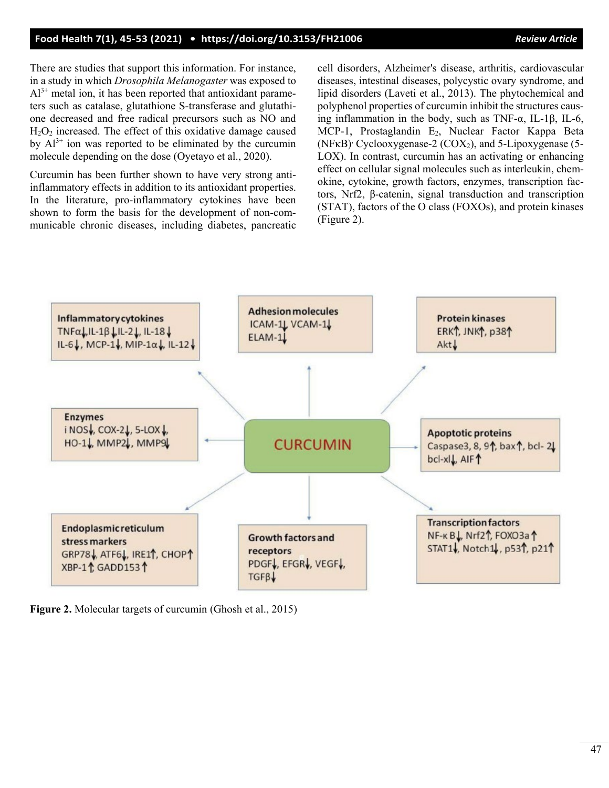## **Food Health 7(1), 45-53 (2021) • <https://doi.org/10.3153/FH21006>***Review Article*

There are studies that support this information. For instance, in a study in which *Drosophila Melanogaster* was exposed to  $Al^{3+}$  metal ion, it has been reported that antioxidant parameters such as catalase, glutathione S-transferase and glutathione decreased and free radical precursors such as NO and  $H<sub>2</sub>O<sub>2</sub>$  increased. The effect of this oxidative damage caused by  $Al^{3+}$  ion was reported to be eliminated by the curcumin molecule depending on the dose (Oyetayo et al., 2020).

Curcumin has been further shown to have very strong antiinflammatory effects in addition to its antioxidant properties. In the literature, pro-inflammatory cytokines have been shown to form the basis for the development of non-communicable chronic diseases, including diabetes, pancreatic cell disorders, Alzheimer's disease, arthritis, cardiovascular diseases, intestinal diseases, polycystic ovary syndrome, and lipid disorders (Laveti et al., 2013). The phytochemical and polyphenol properties of curcumin inhibit the structures causing inflammation in the body, such as TNF-α, IL-1β, IL-6, MCP-1, Prostaglandin E<sub>2</sub>, Nuclear Factor Kappa Beta (NFκB)<sup>,</sup> Cyclooxygenase-2 (COX<sub>2</sub>), and 5-Lipoxygenase (5-LOX). In contrast, curcumin has an activating or enhancing effect on cellular signal molecules such as interleukin, chemokine, cytokine, growth factors, enzymes, transcription factors, Nrf2, β-catenin, signal transduction and transcription (STAT), factors of the O class (FOXOs), and protein kinases (Figure 2).



**Figure 2.** Molecular targets of curcumin (Ghosh et al., 2015)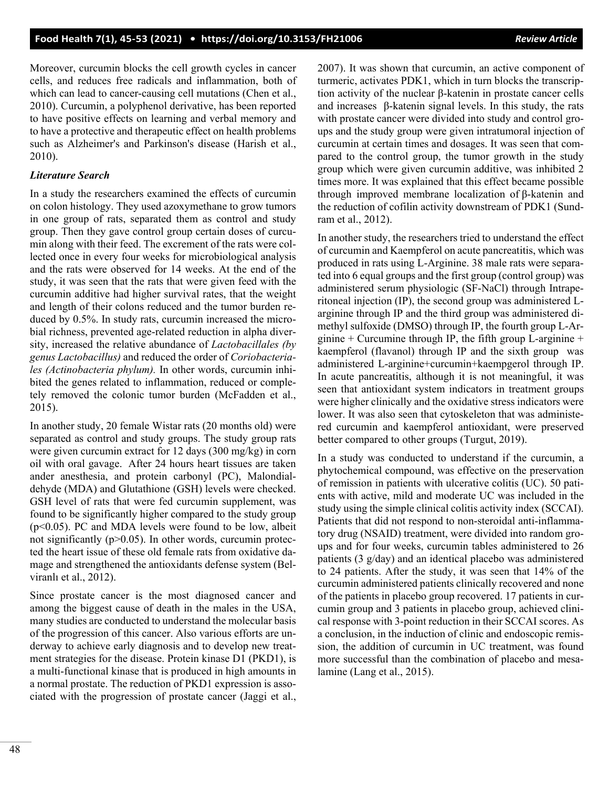Moreover, curcumin blocks the cell growth cycles in cancer cells, and reduces free radicals and inflammation, both of which can lead to cancer-causing cell mutations (Chen et al., 2010). Curcumin, a polyphenol derivative, has been reported to have positive effects on learning and verbal memory and to have a protective and therapeutic effect on health problems such as Alzheimer's and Parkinson's disease (Harish et al., 2010).

#### *Literature Search*

In a study the researchers examined the effects of curcumin on colon histology. They used azoxymethane to grow tumors in one group of rats, separated them as control and study group. Then they gave control group certain doses of curcumin along with their feed. The excrement of the rats were collected once in every four weeks for microbiological analysis and the rats were observed for 14 weeks. At the end of the study, it was seen that the rats that were given feed with the curcumin additive had higher survival rates, that the weight and length of their colons reduced and the tumor burden reduced by 0.5%. In study rats, curcumin increased the microbial richness, prevented age-related reduction in alpha diversity, increased the relative abundance of *Lactobacillales (by genus Lactobacillus)* and reduced the order of *Coriobacteriales (Actinobacteria phylum).* In other words, curcumin inhibited the genes related to inflammation, reduced or completely removed the colonic tumor burden (McFadden et al., 2015).

In another study, 20 female Wistar rats (20 months old) were separated as control and study groups. The study group rats were given curcumin extract for 12 days (300 mg/kg) in corn oil with oral gavage. After 24 hours heart tissues are taken ander anesthesia, and protein carbonyl (PC), Malondialdehyde (MDA) and Glutathione (GSH) levels were checked. GSH level of rats that were fed curcumin supplement, was found to be significantly higher compared to the study group  $(p<0.05)$ . PC and MDA levels were found to be low, albeit not significantly ( $p > 0.05$ ). In other words, curcumin protected the heart issue of these old female rats from oxidative damage and strengthened the antioxidants defense system (Belviranlı et al., 2012).

Since prostate cancer is the most diagnosed cancer and among the biggest cause of death in the males in the USA, many studies are conducted to understand the molecular basis of the progression of this cancer. Also various efforts are underway to achieve early diagnosis and to develop new treatment strategies for the disease. Protein kinase D1 (PKD1), is a multi-functional kinase that is produced in high amounts in a normal prostate. The reduction of PKD1 expression is associated with the progression of prostate cancer (Jaggi et al., 2007). It was shown that curcumin, an active component of turmeric, activates PDK1, which in turn blocks the transcription activity of the nuclear β-katenin in prostate cancer cells and increases β-katenin signal levels. In this study, the rats with prostate cancer were divided into study and control groups and the study group were given intratumoral injection of curcumin at certain times and dosages. It was seen that compared to the control group, the tumor growth in the study group which were given curcumin additive, was inhibited 2 times more. It was explained that this effect became possible through improved membrane localization of β-katenin and the reduction of cofilin activity downstream of PDK1 (Sundram et al., 2012).

In another study, the researchers tried to understand the effect of curcumin and Kaempferol on acute pancreatitis, which was produced in rats using L-Arginine. 38 male rats were separated into 6 equal groups and the first group (control group) was administered serum physiologic (SF-NaCl) through Intraperitoneal injection (IP), the second group was administered Larginine through IP and the third group was administered dimethyl sulfoxide (DMSO) through IP, the fourth group L-Arginine  $+$  Curcumine through IP, the fifth group L-arginine  $+$ kaempferol (flavanol) through IP and the sixth group was administered L-arginine+curcumin+kaempgerol through IP. In acute pancreatitis, although it is not meaningful, it was seen that antioxidant system indicators in treatment groups were higher clinically and the oxidative stress indicators were lower. It was also seen that cytoskeleton that was administered curcumin and kaempferol antioxidant, were preserved better compared to other groups (Turgut, 2019).

In a study was conducted to understand if the curcumin, a phytochemical compound, was effective on the preservation of remission in patients with ulcerative colitis (UC). 50 patients with active, mild and moderate UC was included in the study using the simple clinical colitis activity index (SCCAI). Patients that did not respond to non-steroidal anti-inflammatory drug (NSAID) treatment, were divided into random groups and for four weeks, curcumin tables administered to 26 patients (3 g/day) and an identical placebo was administered to 24 patients. After the study, it was seen that 14% of the curcumin administered patients clinically recovered and none of the patients in placebo group recovered. 17 patients in curcumin group and 3 patients in placebo group, achieved clinical response with 3-point reduction in their SCCAI scores. As a conclusion, in the induction of clinic and endoscopic remission, the addition of curcumin in UC treatment, was found more successful than the combination of placebo and mesalamine (Lang et al., 2015).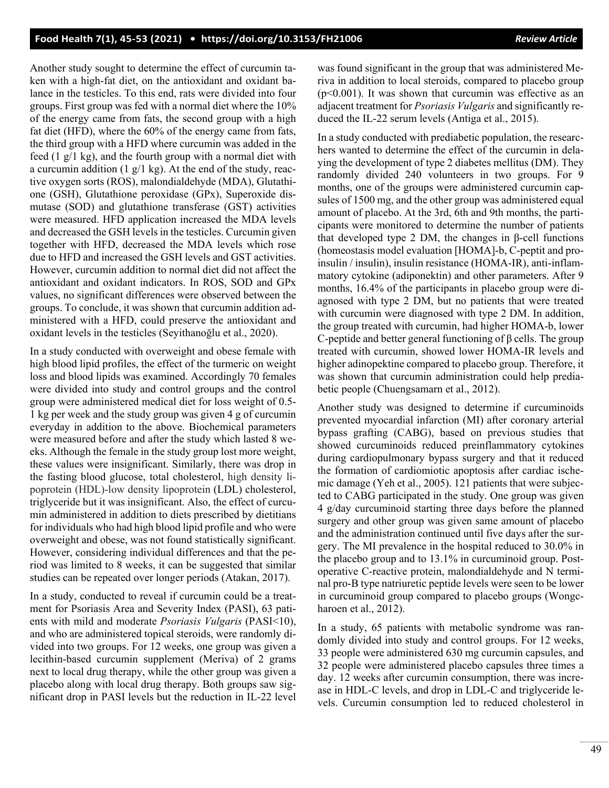Another study sought to determine the effect of curcumin taken with a high-fat diet, on the antioxidant and oxidant balance in the testicles. To this end, rats were divided into four groups. First group was fed with a normal diet where the 10% of the energy came from fats, the second group with a high fat diet (HFD), where the 60% of the energy came from fats, the third group with a HFD where curcumin was added in the feed  $(1 \text{ g}/1 \text{ kg})$ , and the fourth group with a normal diet with a curcumin addition  $(1 \text{ g}/1 \text{ kg})$ . At the end of the study, reactive oxygen sorts (ROS), malondialdehyde (MDA), Glutathione (GSH), Glutathione peroxidase (GPx), Superoxide dismutase (SOD) and glutathione transferase (GST) activities were measured. HFD application increased the MDA levels and decreased the GSH levels in the testicles. Curcumin given together with HFD, decreased the MDA levels which rose due to HFD and increased the GSH levels and GST activities. However, curcumin addition to normal diet did not affect the antioxidant and oxidant indicators. In ROS, SOD and GPx values, no significant differences were observed between the groups. To conclude, it was shown that curcumin addition administered with a HFD, could preserve the antioxidant and oxidant levels in the testicles (Seyithanoğlu et al., 2020).

In a study conducted with overweight and obese female with high blood lipid profiles, the effect of the turmeric on weight loss and blood lipids was examined. Accordingly 70 females were divided into study and control groups and the control group were administered medical diet for loss weight of 0.5- 1 kg per week and the study group was given 4 g of curcumin everyday in addition to the above. Biochemical parameters were measured before and after the study which lasted 8 weeks. Although the female in the study group lost more weight, these values were insignificant. Similarly, there was drop in the fasting blood glucose, total cholesterol, high density lipoprotein (HDL)-low density lipoprotein (LDL) cholesterol, triglyceride but it was insignificant. Also, the effect of curcumin administered in addition to diets prescribed by dietitians for individuals who had high blood lipid profile and who were overweight and obese, was not found statistically significant. However, considering individual differences and that the period was limited to 8 weeks, it can be suggested that similar studies can be repeated over longer periods (Atakan, 2017).

In a study, conducted to reveal if curcumin could be a treatment for Psoriasis Area and Severity Index (PASI), 63 patients with mild and moderate *Psoriasis Vulgaris* (PASI<10), and who are administered topical steroids, were randomly divided into two groups. For 12 weeks, one group was given a lecithin-based curcumin supplement (Meriva) of 2 grams next to local drug therapy, while the other group was given a placebo along with local drug therapy. Both groups saw significant drop in PASI levels but the reduction in IL-22 level was found significant in the group that was administered Meriva in addition to local steroids, compared to placebo group ( $p$ <0.001). It was shown that curcumin was effective as an adjacent treatment for *Psoriasis Vulgaris* and significantly reduced the IL-22 serum levels (Antiga et al., 2015).

In a study conducted with prediabetic population, the researchers wanted to determine the effect of the curcumin in delaying the development of type 2 diabetes mellitus (DM). They randomly divided 240 volunteers in two groups. For 9 months, one of the groups were administered curcumin capsules of 1500 mg, and the other group was administered equal amount of placebo. At the 3rd, 6th and 9th months, the participants were monitored to determine the number of patients that developed type 2 DM, the changes in β-cell functions (homeostasis model evaluation [HOMA]-b, C-peptit and proinsulin / insulin), insulin resistance (HOMA-IR), anti-inflammatory cytokine (adiponektin) and other parameters. After 9 months, 16.4% of the participants in placebo group were diagnosed with type 2 DM, but no patients that were treated with curcumin were diagnosed with type 2 DM. In addition, the group treated with curcumin, had higher HOMA-b, lower C-peptide and better general functioning of  $\beta$  cells. The group treated with curcumin, showed lower HOMA-IR levels and higher adinopektine compared to placebo group. Therefore, it was shown that curcumin administration could help prediabetic people (Chuengsamarn et al., 2012).

Another study was designed to determine if curcuminoids prevented myocardial infarction (MI) after coronary arterial bypass grafting (CABG), based on previous studies that showed curcuminoids reduced preinflammatory cytokines during cardiopulmonary bypass surgery and that it reduced the formation of cardiomiotic apoptosis after cardiac ischemic damage (Yeh et al., 2005). 121 patients that were subjected to CABG participated in the study. One group was given 4 g/day curcuminoid starting three days before the planned surgery and other group was given same amount of placebo and the administration continued until five days after the surgery. The MI prevalence in the hospital reduced to 30.0% in the placebo group and to 13.1% in curcuminoid group. Postoperative C-reactive protein, malondialdehyde and N terminal pro-B type natriuretic peptide levels were seen to be lower in curcuminoid group compared to placebo groups (Wongcharoen et al., 2012).

In a study, 65 patients with metabolic syndrome was randomly divided into study and control groups. For 12 weeks, 33 people were administered 630 mg curcumin capsules, and 32 people were administered placebo capsules three times a day. 12 weeks after curcumin consumption, there was increase in HDL-C levels, and drop in LDL-C and triglyceride levels. Curcumin consumption led to reduced cholesterol in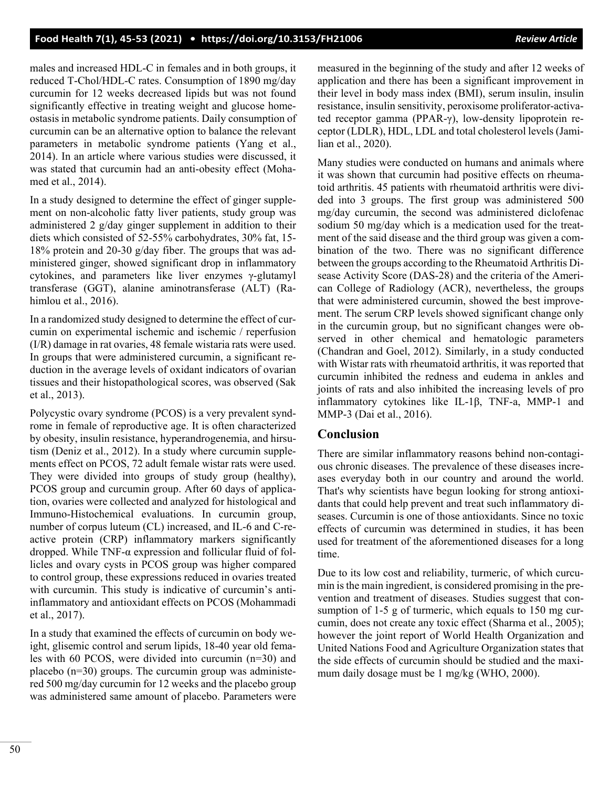## **Food Health 7(1), 45-53 (2021) • <https://doi.org/10.3153/FH21006>** *Review Article*

males and increased HDL-C in females and in both groups, it reduced T-Chol/HDL-C rates. Consumption of 1890 mg/day curcumin for 12 weeks decreased lipids but was not found significantly effective in treating weight and glucose homeostasis in metabolic syndrome patients. Daily consumption of curcumin can be an alternative option to balance the relevant parameters in metabolic syndrome patients (Yang et al., 2014). In an article where various studies were discussed, it was stated that curcumin had an anti-obesity effect (Mohamed et al., 2014).

In a study designed to determine the effect of ginger supplement on non-alcoholic fatty liver patients, study group was administered 2 g/day ginger supplement in addition to their diets which consisted of 52-55% carbohydrates, 30% fat, 15- 18% protein and 20-30 g/day fiber. The groups that was administered ginger, showed significant drop in inflammatory cytokines, and parameters like liver enzymes γ-glutamyl transferase (GGT), alanine aminotransferase (ALT) (Rahimlou et al., 2016).

In a randomized study designed to determine the effect of curcumin on experimental ischemic and ischemic / reperfusion (I/R) damage in rat ovaries, 48 female wistaria rats were used. In groups that were administered curcumin, a significant reduction in the average levels of oxidant indicators of ovarian tissues and their histopathological scores, was observed (Sak et al., 2013).

Polycystic ovary syndrome (PCOS) is a very prevalent syndrome in female of reproductive age. It is often characterized by obesity, insulin resistance, hyperandrogenemia, and hirsutism (Deniz et al., 2012). In a study where curcumin supplements effect on PCOS, 72 adult female wistar rats were used. They were divided into groups of study group (healthy), PCOS group and curcumin group. After 60 days of application, ovaries were collected and analyzed for histological and Immuno-Histochemical evaluations. In curcumin group, number of corpus luteum (CL) increased, and IL-6 and C-reactive protein (CRP) inflammatory markers significantly dropped. While TNF-α expression and follicular fluid of follicles and ovary cysts in PCOS group was higher compared to control group, these expressions reduced in ovaries treated with curcumin. This study is indicative of curcumin's antiinflammatory and antioxidant effects on PCOS (Mohammadi et al., 2017).

In a study that examined the effects of curcumin on body weight, glisemic control and serum lipids, 18-40 year old females with 60 PCOS, were divided into curcumin (n=30) and placebo (n=30) groups. The curcumin group was administered 500 mg/day curcumin for 12 weeks and the placebo group was administered same amount of placebo. Parameters were measured in the beginning of the study and after 12 weeks of application and there has been a significant improvement in their level in body mass index (BMI), serum insulin, insulin resistance, insulin sensitivity, peroxisome proliferator-activated receptor gamma (PPAR-γ), low-density lipoprotein receptor (LDLR), HDL, LDL and total cholesterol levels (Jamilian et al., 2020).

Many studies were conducted on humans and animals where it was shown that curcumin had positive effects on rheumatoid arthritis. 45 patients with rheumatoid arthritis were divided into 3 groups. The first group was administered 500 mg/day curcumin, the second was administered diclofenac sodium 50 mg/day which is a medication used for the treatment of the said disease and the third group was given a combination of the two. There was no significant difference between the groups according to the Rheumatoid Arthritis Disease Activity Score (DAS-28) and the criteria of the American College of Radiology (ACR), nevertheless, the groups that were administered curcumin, showed the best improvement. The serum CRP levels showed significant change only in the curcumin group, but no significant changes were observed in other chemical and hematologic parameters (Chandran and Goel, 2012). Similarly, in a study conducted with Wistar rats with rheumatoid arthritis, it was reported that curcumin inhibited the redness and eudema in ankles and joints of rats and also inhibited the increasing levels of pro inflammatory cytokines like IL-1β, TNF-a, MMP-1 and MMP-3 (Dai et al., 2016).

## **Conclusion**

There are similar inflammatory reasons behind non-contagious chronic diseases. The prevalence of these diseases increases everyday both in our country and around the world. That's why scientists have begun looking for strong antioxidants that could help prevent and treat such inflammatory diseases. Curcumin is one of those antioxidants. Since no toxic effects of curcumin was determined in studies, it has been used for treatment of the aforementioned diseases for a long time.

Due to its low cost and reliability, turmeric, of which curcumin is the main ingredient, is considered promising in the prevention and treatment of diseases. Studies suggest that consumption of 1-5 g of turmeric, which equals to 150 mg curcumin, does not create any toxic effect (Sharma et al., 2005); however the joint report of World Health Organization and United Nations Food and Agriculture Organization states that the side effects of curcumin should be studied and the maximum daily dosage must be 1 mg/kg (WHO, 2000).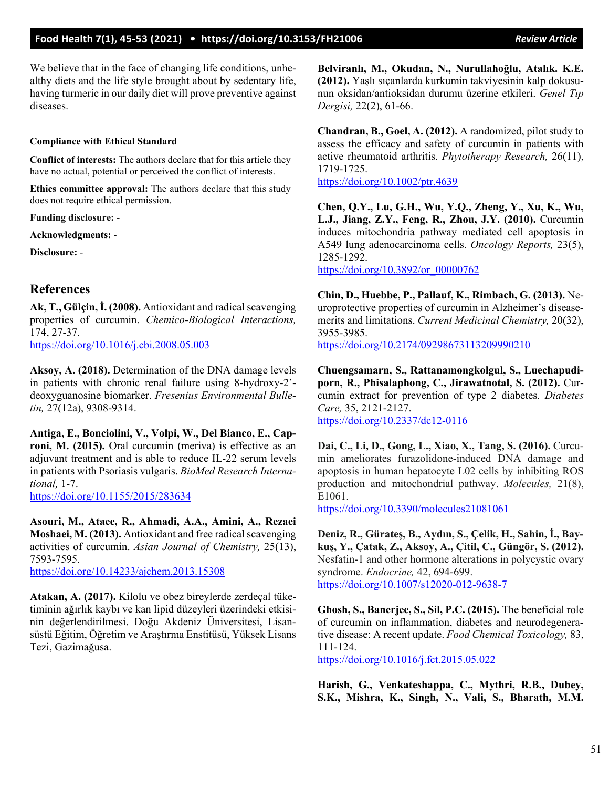We believe that in the face of changing life conditions, unhealthy diets and the life style brought about by sedentary life, having turmeric in our daily diet will prove preventive against diseases.

#### **Compliance with Ethical Standard**

**Conflict of interests:** The authors declare that for this article they have no actual, potential or perceived the conflict of interests.

**Ethics committee approval:** The authors declare that this study does not require ethical permission.

**Funding disclosure:** -

**Acknowledgments:** -

**Disclosure:** -

## **References**

**Ak, T., Gülçin, İ. (2008).** Antioxidant and radical scavenging properties of curcumin. *Chemico-Biological Interactions,* 174, 27-37. <https://doi.org/10.1016/j.cbi.2008.05.003>

**Aksoy, A. (2018).** Determination of the DNA damage levels in patients with chronic renal failure using 8-hydroxy-2' deoxyguanosine biomarker. *Fresenius Environmental Bulletin,* 27(12a), 9308-9314.

**Antiga, E., Bonciolini, V., Volpi, W., Del Bianco, E., Caproni, M. (2015).** Oral curcumin (meriva) is effective as an adjuvant treatment and is able to reduce IL-22 serum levels in patients with Psoriasis vulgaris. *BioMed Research International,* 1-7. <https://doi.org/10.1155/2015/283634>

**Asouri, M., Ataee, R., Ahmadi, A.A., Amini, A., Rezaei Moshaei, M. (2013).** Antioxidant and free radical scavenging activities of curcumin. *Asian Journal of Chemistry,* 25(13), 7593-7595. <https://doi.org/10.14233/ajchem.2013.15308>

**Atakan, A. (2017).** Kilolu ve obez bireylerde zerdeçal tüketiminin ağırlık kaybı ve kan lipid düzeyleri üzerindeki etkisinin değerlendirilmesi. Doğu Akdeniz Üniversitesi, Lisansüstü Eğitim, Öğretim ve Araştırma Enstitüsü, Yüksek Lisans Tezi, Gazimağusa.

**Belviranlı, M., Okudan, N., Nurullahoğlu, Atalık. K.E. (2012).** Yaşlı sıçanlarda kurkumin takviyesinin kalp dokusunun oksidan/antioksidan durumu üzerine etkileri. *Genel Tıp Dergisi,* 22(2), 61-66.

**Chandran, B., Goel, A. (2012).** A randomized, pilot study to assess the efficacy and safety of curcumin in patients with active rheumatoid arthritis. *Phytotherapy Research,* 26(11), 1719-1725.

<https://doi.org/10.1002/ptr.4639>

**Chen, Q.Y., Lu, G.H., Wu, Y.Q., Zheng, Y., Xu, K., Wu, L.J., Jiang, Z.Y., Feng, R., Zhou, J.Y. (2010).** Curcumin induces mitochondria pathway mediated cell apoptosis in A549 lung adenocarcinoma cells. *Oncology Reports,* 23(5), 1285-1292.

[https://doi.org/10.3892/or\\_00000762](https://doi.org/10.3892/or_00000762)

**Chin, D., Huebbe, P., Pallauf, K., Rimbach, G. (2013).** Neuroprotective properties of curcumin in Alzheimer's diseasemerits and limitations. *Current Medicinal Chemistry,* 20(32), 3955-3985. <https://doi.org/10.2174/09298673113209990210>

**Chuengsamarn, S., Rattanamongkolgul, S., Luechapudiporn, R., Phisalaphong, C., Jirawatnotal, S. (2012).** Curcumin extract for prevention of type 2 diabetes. *Diabetes Care,* 35, 2121-2127. [https://doi.org/10.2337/dc12](https://doi.org/10.2337/dc12-0116)-0116

**Dai, C., Li, D., Gong, L., Xiao, X., Tang, S. (2016).** Curcumin ameliorates furazolidone-induced DNA damage and apoptosis in human hepatocyte L02 cells by inhibiting ROS production and mitochondrial pathway. *Molecules,* 21(8), E1061.

https://[doi.org/10.3390/molecules21081061](https://doi.org/10.3390/molecules21081061)

**Deniz, R., Gürateş, B., Aydın, S., Çelik, H., Sahin, İ., Baykuş, Y., Çatak, Z., Aksoy, A., Çitil, C., Güngör, S. (2012).** Nesfatin-1 and other hormone alterations in polycystic ovary syndrome. *Endocrine,* 42, 694-699. [https://doi.org/10.1007/s12020](https://doi.org/10.1007/s12020-012-9638-7)-012-9638-7

**Ghosh, S., Banerjee, S., Sil, P.C. (2015).** The beneficial role of curcumin on inflammation, diabetes and neurodegenerative disease: A recent update. *Food Chemical Toxicology,* 83, 111-124.

<https://doi.org/10.1016/j.fct.2015.05.022>

**Harish, G., Venkateshappa, C., Mythri, R.B., Dubey, S.K., Mishra, K., Singh, N., Vali, S., Bharath, M.M.**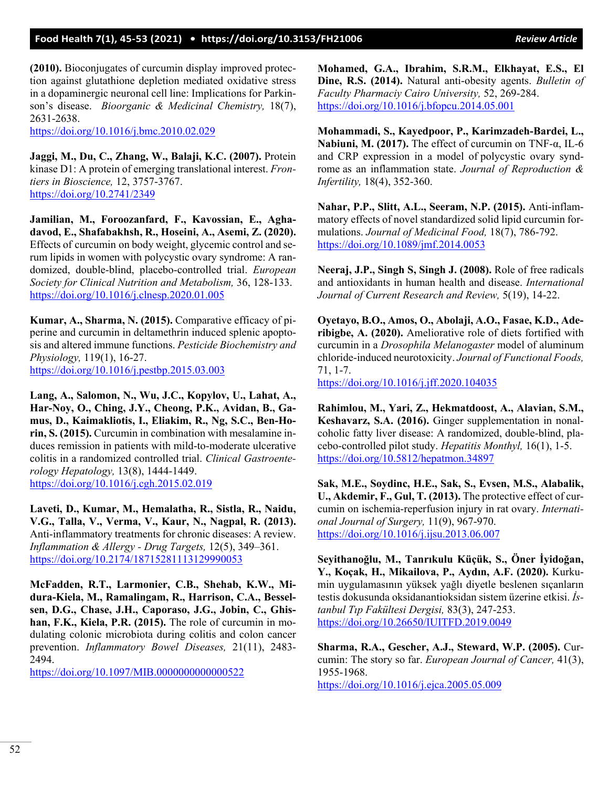**(2010).** Bioconjugates of curcumin display improved protection against glutathione depletion mediated oxidative stress in a dopaminergic neuronal cell line: Implications for Parkinson's disease. *Bioorganic & Medicinal Chemistry,* 18(7), 2631-2638.

<https://doi.org/10.1016/j.bmc.2010.02.029>

**Jaggi, M., Du, C., Zhang, W., Balaji, K.C. (2007).** Protein kinase D1: A protein of emerging translational interest. *Frontiers in Bioscience,* 12, 3757-3767. <https://doi.org/10.2741/2349>

**Jamilian, M., Foroozanfard, F., Kavossian, E., Aghadavod, E., Shafabakhsh, R., Hoseini, A., Asemi, Z. (2020).** Effects of curcumin on body weight, glycemic control and serum lipids in women with polycystic ovary syndrome: A randomized, double-blind, placebo-controlled trial. *European Society for Clinical Nutrition and Metabolism,* 36, 128-133. <https://doi.org/10.1016/j.clnesp.2020.01.005>

**Kumar, A., Sharma, N. (2015).** Comparative efficacy of piperine and curcumin in deltamethrin induced splenic apoptosis and altered immune functions. *Pesticide Biochemistry and Physiology,* 119(1), 16-27. <https://doi.org/10.1016/j.pestbp.2015.03.003>

**Lang, A., Salomon, N., Wu, J.C., Kopylov, U., Lahat, A., Har-Noy, O., Ching, J.Y., Cheong, P.K., Avidan, B., Gamus, D., Kaimakliotis, I., Eliakim, R., Ng, S.C., Ben-Horin, S. (2015).** Curcumin in combination with mesalamine induces remission in patients with mild-to-moderate ulcerative colitis in a randomized controlled trial. *Clinical Gastroenterology Hepatology,* 13(8), 1444-1449. <https://doi.org/10.1016/j.cgh.2015.02.019>

**Laveti, D., Kumar, M., Hemalatha, R., Sistla, R., Naidu, V.G., Talla, V., Verma, V., Kaur, N., Nagpal, R. (2013).** Anti-inflammatory treatments for chronic diseases: A review. *Inflammation & Allergy - Drug Targets,* 12(5), 349–361. <https://doi.org/10.2174/18715281113129990053>

**McFadden, R.T., Larmonier, C.B., Shehab, K.W., Midura-Kiela, M., Ramalingam, R., Harrison, C.A., Besselsen, D.G., Chase, J.H., Caporaso, J.G., Jobin, C., Ghishan, F.K., Kiela, P.R. (2015).** The role of curcumin in modulating colonic microbiota during colitis and colon cancer prevention. *Inflammatory Bowel Diseases,* 21(11), 2483- 2494.

<https://doi.org/10.1097/MIB.0000000000000522>

**Mohamed, G.A., Ibrahim, S.R.M., Elkhayat, E.S., El Dine, R.S. (2014).** Natural anti-obesity agents. *Bulletin of Faculty Pharmaciy Cairo University,* 52, 269-284. <https://doi.org/10.1016/j.bfopcu.2014.05.001>

**Mohammadi, S., Kayedpoor, P., Karimzadeh-Bardei, L., Nabiuni, M. (2017).** The effect of curcumin on TNF-α, IL-6 and CRP expression in a model of polycystic ovary syndrome as an inflammation state. *Journal of Reproduction & Infertility,* 18(4), 352-360.

**Nahar, P.P., Slitt, A.L., Seeram, N.P. (2015).** Anti-inflammatory effects of novel standardized solid lipid curcumin formulations. *Journal of Medicinal Food,* 18(7), 786-792. <https://doi.org/10.1089/jmf.2014.0053>

**Neeraj, J.P., Singh S, Singh J. (2008).** Role of free radicals and antioxidants in human health and disease. *International Journal of Current Research and Review,* 5(19), 14-22.

**Oyetayo, B.O., Amos, O., Abolaji, A.O., Fasae, K.D., Aderibigbe, A. (2020).** Ameliorative role of diets fortified with curcumin in a *Drosophila Melanogaster* model of aluminum chloride-induced neurotoxicity. *Journal of Functional Foods,* 71, 1-7.

<https://doi.org/10.1016/j.jff.2020.104035>

**Rahimlou, M., Yari, Z., Hekmatdoost, A., Alavian, S.M., Keshavarz, S.A. (2016).** Ginger supplementation in nonalcoholic fatty liver disease: A randomized, double-blind, placebo-controlled pilot study. *Hepatitis Monthyl,* 16(1), 1-5. <https://doi.org/10.5812/hepatmon.34897>

**Sak, M.E., Soydinc, H.E., Sak, S., Evsen, M.S., Alabalik, U., Akdemir, F., Gul, T. (2013).** The protective effect of curcumin on ischemia-reperfusion injury in rat ovary. *International Journal of Surgery,* 11(9), 967-970. <https://doi.org/10.1016/j.ijsu.2013.06.007>

**Seyithanoğlu, M., Tanrıkulu Küçük, S., Öner İyidoğan, Y., Koçak, H., Mikailova, P., Aydın, A.F. (2020).** Kurkumin uygulamasının yüksek yağlı diyetle beslenen sıçanların testis dokusunda oksidanantioksidan sistem üzerine etkisi. *İstanbul Tıp Fakültesi Dergisi,* 83(3), 247-253. <https://doi.org/10.26650/IUITFD.2019.0049>

**Sharma, R.A., Gescher, A.J., Steward, W.P. (2005).** Curcumin: The story so far. *European Journal of Cancer,* 41(3), 1955-1968.

<https://doi.org/10.1016/j.ejca.2005.05.009>